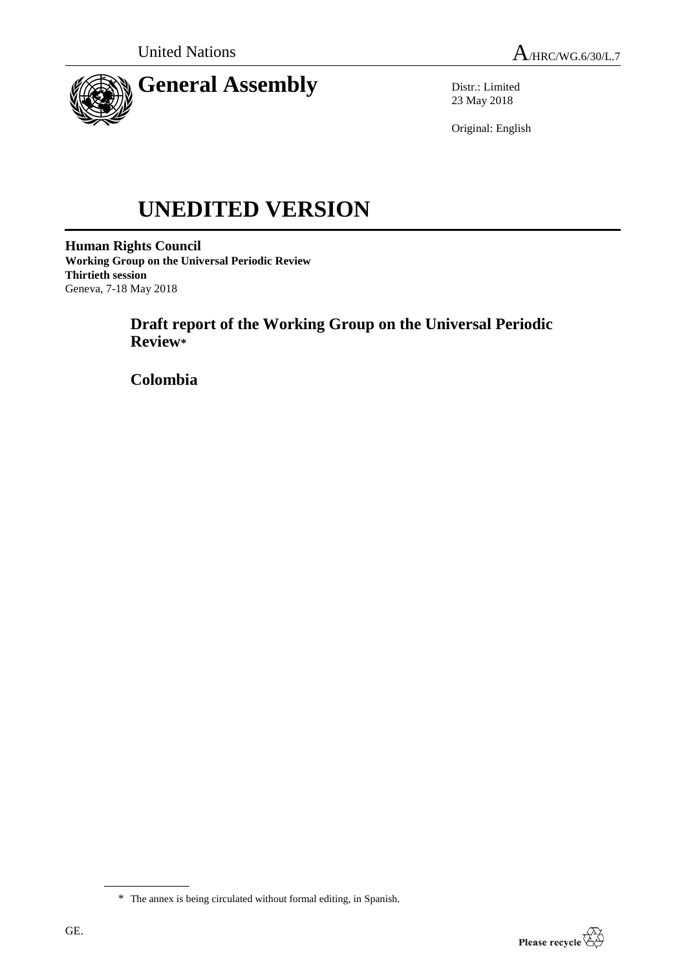



Distr.: Limited 23 May 2018

Original: English

# **UNEDITED VERSION**

**Human Rights Council Working Group on the Universal Periodic Review Thirtieth session** Geneva, 7-18 May 2018

> **Draft report of the Working Group on the Universal Periodic Review\***

**Colombia**



<sup>\*</sup> The annex is being circulated without formal editing, in Spanish.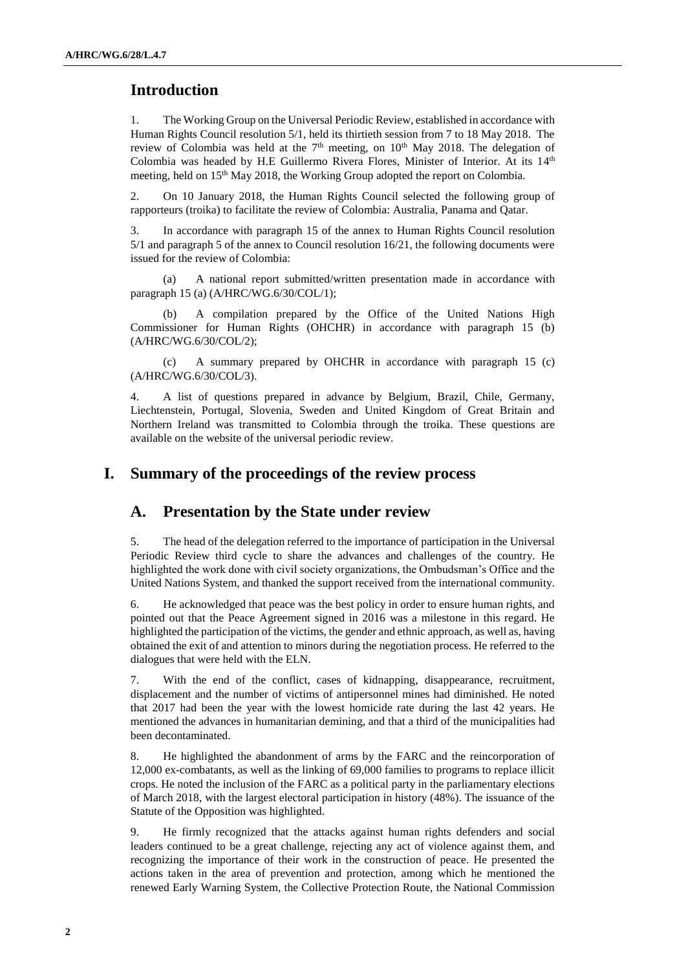## **Introduction**

1. The Working Group on the Universal Periodic Review, established in accordance with Human Rights Council resolution 5/1, held its thirtieth session from 7 to 18 May 2018. The review of Colombia was held at the  $7<sup>th</sup>$  meeting, on  $10<sup>th</sup>$  May 2018. The delegation of Colombia was headed by H.E Guillermo Rivera Flores, Minister of Interior. At its 14<sup>th</sup> meeting, held on 15<sup>th</sup> May 2018, the Working Group adopted the report on Colombia.

2. On 10 January 2018, the Human Rights Council selected the following group of rapporteurs (troika) to facilitate the review of Colombia: Australia, Panama and Qatar.

3. In accordance with paragraph 15 of the annex to Human Rights Council resolution 5/1 and paragraph 5 of the annex to Council resolution 16/21, the following documents were issued for the review of Colombia:

(a) A national report submitted/written presentation made in accordance with paragraph 15 (a) (A/HRC/WG.6/30/COL/1);

(b) A compilation prepared by the Office of the United Nations High Commissioner for Human Rights (OHCHR) in accordance with paragraph 15 (b) (A/HRC/WG.6/30/COL/2);

(c) A summary prepared by OHCHR in accordance with paragraph 15 (c) (A/HRC/WG.6/30/COL/3).

4. A list of questions prepared in advance by Belgium, Brazil, Chile, Germany, Liechtenstein, Portugal, Slovenia, Sweden and United Kingdom of Great Britain and Northern Ireland was transmitted to Colombia through the troika. These questions are available on the website of the universal periodic review.

## **I. Summary of the proceedings of the review process**

## **A. Presentation by the State under review**

5. The head of the delegation referred to the importance of participation in the Universal Periodic Review third cycle to share the advances and challenges of the country. He highlighted the work done with civil society organizations, the Ombudsman's Office and the United Nations System, and thanked the support received from the international community.

6. He acknowledged that peace was the best policy in order to ensure human rights, and pointed out that the Peace Agreement signed in 2016 was a milestone in this regard. He highlighted the participation of the victims, the gender and ethnic approach, as well as, having obtained the exit of and attention to minors during the negotiation process. He referred to the dialogues that were held with the ELN.

7. With the end of the conflict, cases of kidnapping, disappearance, recruitment, displacement and the number of victims of antipersonnel mines had diminished. He noted that 2017 had been the year with the lowest homicide rate during the last 42 years. He mentioned the advances in humanitarian demining, and that a third of the municipalities had been decontaminated.

8. He highlighted the abandonment of arms by the FARC and the reincorporation of 12,000 ex-combatants, as well as the linking of 69,000 families to programs to replace illicit crops. He noted the inclusion of the FARC as a political party in the parliamentary elections of March 2018, with the largest electoral participation in history (48%). The issuance of the Statute of the Opposition was highlighted.

9. He firmly recognized that the attacks against human rights defenders and social leaders continued to be a great challenge, rejecting any act of violence against them, and recognizing the importance of their work in the construction of peace. He presented the actions taken in the area of prevention and protection, among which he mentioned the renewed Early Warning System, the Collective Protection Route, the National Commission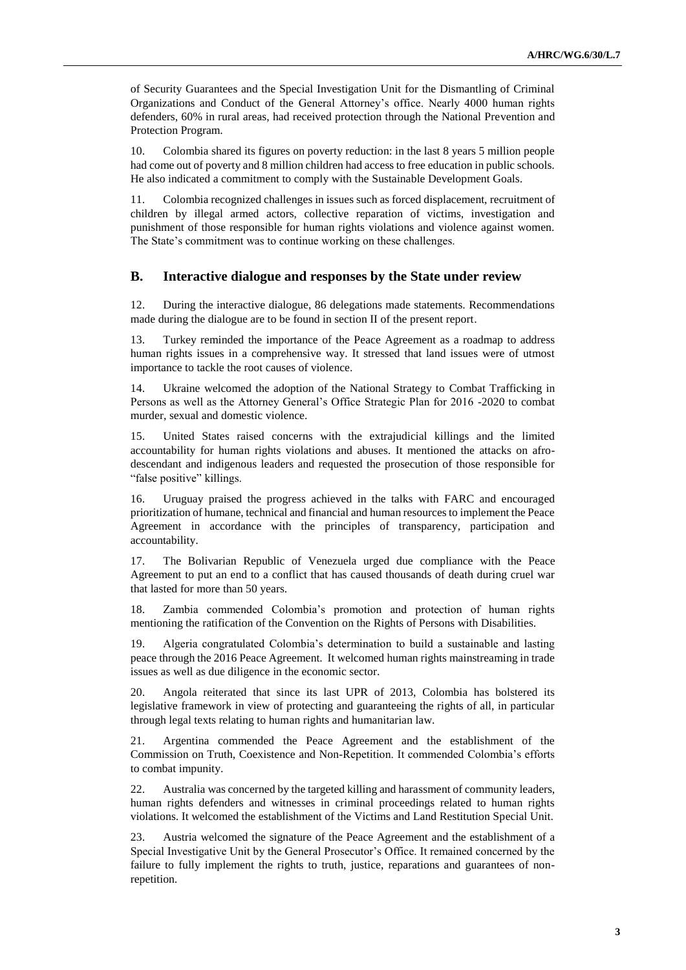of Security Guarantees and the Special Investigation Unit for the Dismantling of Criminal Organizations and Conduct of the General Attorney's office. Nearly 4000 human rights defenders, 60% in rural areas, had received protection through the National Prevention and Protection Program.

10. Colombia shared its figures on poverty reduction: in the last 8 years 5 million people had come out of poverty and 8 million children had access to free education in public schools. He also indicated a commitment to comply with the Sustainable Development Goals.

11. Colombia recognized challenges in issues such as forced displacement, recruitment of children by illegal armed actors, collective reparation of victims, investigation and punishment of those responsible for human rights violations and violence against women. The State's commitment was to continue working on these challenges.

#### **B. Interactive dialogue and responses by the State under review**

12. During the interactive dialogue, 86 delegations made statements. Recommendations made during the dialogue are to be found in section II of the present report.

13. Turkey reminded the importance of the Peace Agreement as a roadmap to address human rights issues in a comprehensive way. It stressed that land issues were of utmost importance to tackle the root causes of violence.

14. Ukraine welcomed the adoption of the National Strategy to Combat Trafficking in Persons as well as the Attorney General's Office Strategic Plan for 2016 -2020 to combat murder, sexual and domestic violence.

15. United States raised concerns with the extrajudicial killings and the limited accountability for human rights violations and abuses. It mentioned the attacks on afrodescendant and indigenous leaders and requested the prosecution of those responsible for "false positive" killings.

16. Uruguay praised the progress achieved in the talks with FARC and encouraged prioritization of humane, technical and financial and human resources to implement the Peace Agreement in accordance with the principles of transparency, participation and accountability.

17. The Bolivarian Republic of Venezuela urged due compliance with the Peace Agreement to put an end to a conflict that has caused thousands of death during cruel war that lasted for more than 50 years.

18. Zambia commended Colombia's promotion and protection of human rights mentioning the ratification of the Convention on the Rights of Persons with Disabilities.

19. Algeria congratulated Colombia's determination to build a sustainable and lasting peace through the 2016 Peace Agreement. It welcomed human rights mainstreaming in trade issues as well as due diligence in the economic sector.

20. Angola reiterated that since its last UPR of 2013, Colombia has bolstered its legislative framework in view of protecting and guaranteeing the rights of all, in particular through legal texts relating to human rights and humanitarian law.

21. Argentina commended the Peace Agreement and the establishment of the Commission on Truth, Coexistence and Non-Repetition. It commended Colombia's efforts to combat impunity.

22. Australia was concerned by the targeted killing and harassment of community leaders, human rights defenders and witnesses in criminal proceedings related to human rights violations. It welcomed the establishment of the Victims and Land Restitution Special Unit.

23. Austria welcomed the signature of the Peace Agreement and the establishment of a Special Investigative Unit by the General Prosecutor's Office. It remained concerned by the failure to fully implement the rights to truth, justice, reparations and guarantees of nonrepetition.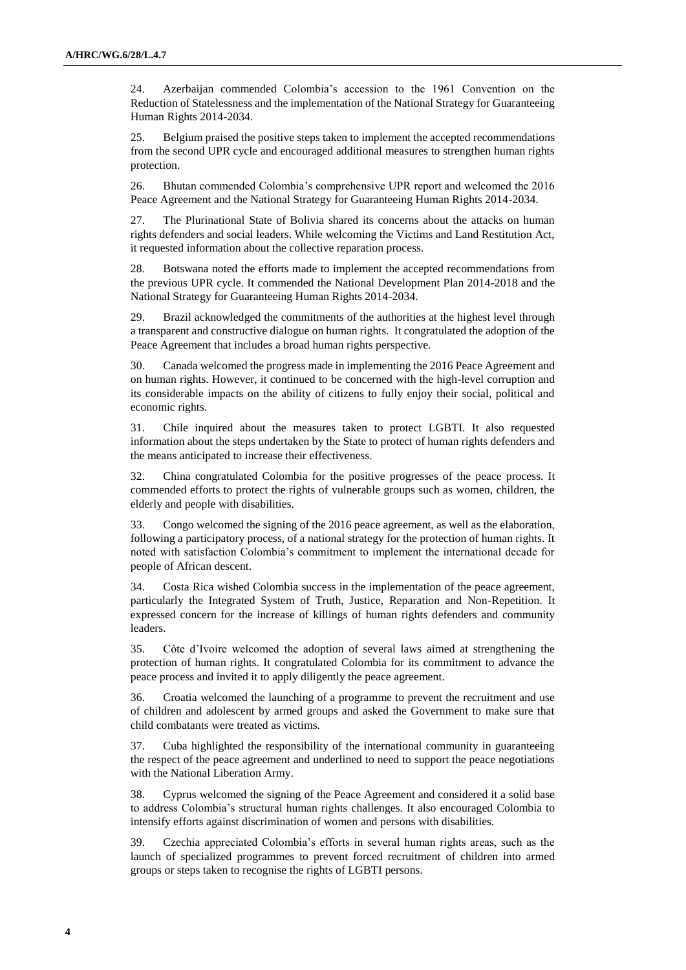24. Azerbaijan commended Colombia's accession to the 1961 Convention on the Reduction of Statelessness and the implementation of the National Strategy for Guaranteeing Human Rights 2014-2034.

25. Belgium praised the positive steps taken to implement the accepted recommendations from the second UPR cycle and encouraged additional measures to strengthen human rights protection.

26. Bhutan commended Colombia's comprehensive UPR report and welcomed the 2016 Peace Agreement and the National Strategy for Guaranteeing Human Rights 2014-2034.

27. The Plurinational State of Bolivia shared its concerns about the attacks on human rights defenders and social leaders. While welcoming the Victims and Land Restitution Act, it requested information about the collective reparation process.

28. Botswana noted the efforts made to implement the accepted recommendations from the previous UPR cycle. It commended the National Development Plan 2014-2018 and the National Strategy for Guaranteeing Human Rights 2014-2034.

29. Brazil acknowledged the commitments of the authorities at the highest level through a transparent and constructive dialogue on human rights. It congratulated the adoption of the Peace Agreement that includes a broad human rights perspective.

30. Canada welcomed the progress made in implementing the 2016 Peace Agreement and on human rights. However, it continued to be concerned with the high-level corruption and its considerable impacts on the ability of citizens to fully enjoy their social, political and economic rights.

31. Chile inquired about the measures taken to protect LGBTI. It also requested information about the steps undertaken by the State to protect of human rights defenders and the means anticipated to increase their effectiveness.

32. China congratulated Colombia for the positive progresses of the peace process. It commended efforts to protect the rights of vulnerable groups such as women, children, the elderly and people with disabilities.

33. Congo welcomed the signing of the 2016 peace agreement, as well as the elaboration, following a participatory process, of a national strategy for the protection of human rights. It noted with satisfaction Colombia's commitment to implement the international decade for people of African descent.

34. Costa Rica wished Colombia success in the implementation of the peace agreement, particularly the Integrated System of Truth, Justice, Reparation and Non-Repetition. It expressed concern for the increase of killings of human rights defenders and community leaders.

35. Côte d'Ivoire welcomed the adoption of several laws aimed at strengthening the protection of human rights. It congratulated Colombia for its commitment to advance the peace process and invited it to apply diligently the peace agreement.

36. Croatia welcomed the launching of a programme to prevent the recruitment and use of children and adolescent by armed groups and asked the Government to make sure that child combatants were treated as victims.

37. Cuba highlighted the responsibility of the international community in guaranteeing the respect of the peace agreement and underlined to need to support the peace negotiations with the National Liberation Army.

38. Cyprus welcomed the signing of the Peace Agreement and considered it a solid base to address Colombia's structural human rights challenges. It also encouraged Colombia to intensify efforts against discrimination of women and persons with disabilities.

39. Czechia appreciated Colombia's efforts in several human rights areas, such as the launch of specialized programmes to prevent forced recruitment of children into armed groups or steps taken to recognise the rights of LGBTI persons.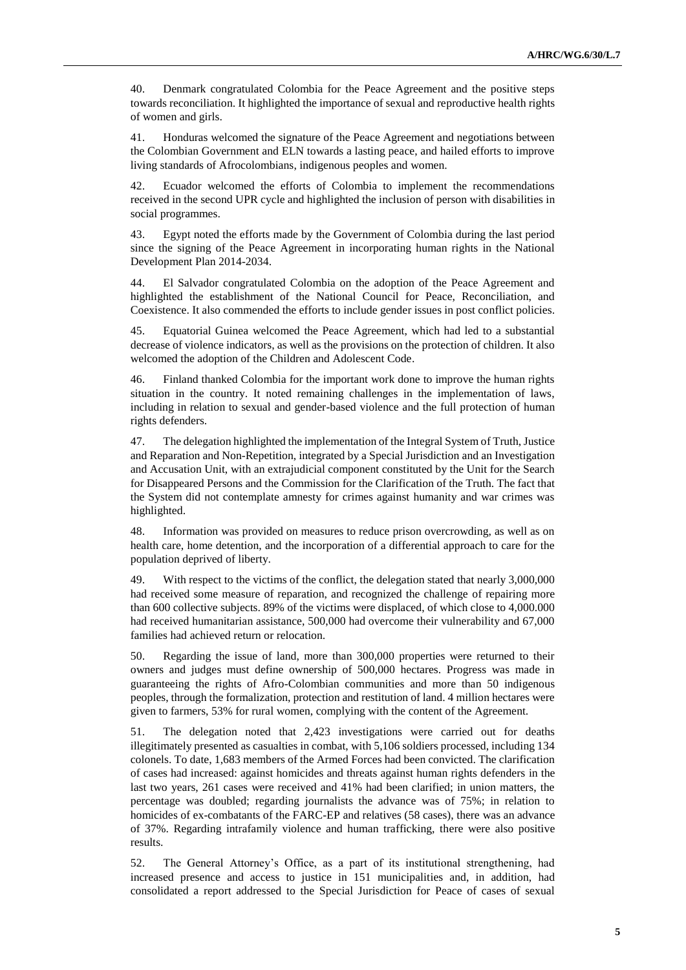40. Denmark congratulated Colombia for the Peace Agreement and the positive steps towards reconciliation. It highlighted the importance of sexual and reproductive health rights of women and girls.

41. Honduras welcomed the signature of the Peace Agreement and negotiations between the Colombian Government and ELN towards a lasting peace, and hailed efforts to improve living standards of Afrocolombians, indigenous peoples and women.

42. Ecuador welcomed the efforts of Colombia to implement the recommendations received in the second UPR cycle and highlighted the inclusion of person with disabilities in social programmes.

43. Egypt noted the efforts made by the Government of Colombia during the last period since the signing of the Peace Agreement in incorporating human rights in the National Development Plan 2014-2034.

44. El Salvador congratulated Colombia on the adoption of the Peace Agreement and highlighted the establishment of the National Council for Peace, Reconciliation, and Coexistence. It also commended the efforts to include gender issues in post conflict policies.

45. Equatorial Guinea welcomed the Peace Agreement, which had led to a substantial decrease of violence indicators, as well as the provisions on the protection of children. It also welcomed the adoption of the Children and Adolescent Code.

46. Finland thanked Colombia for the important work done to improve the human rights situation in the country. It noted remaining challenges in the implementation of laws, including in relation to sexual and gender-based violence and the full protection of human rights defenders.

47. The delegation highlighted the implementation of the Integral System of Truth, Justice and Reparation and Non-Repetition, integrated by a Special Jurisdiction and an Investigation and Accusation Unit, with an extrajudicial component constituted by the Unit for the Search for Disappeared Persons and the Commission for the Clarification of the Truth. The fact that the System did not contemplate amnesty for crimes against humanity and war crimes was highlighted.

48. Information was provided on measures to reduce prison overcrowding, as well as on health care, home detention, and the incorporation of a differential approach to care for the population deprived of liberty.

49. With respect to the victims of the conflict, the delegation stated that nearly 3,000,000 had received some measure of reparation, and recognized the challenge of repairing more than 600 collective subjects. 89% of the victims were displaced, of which close to 4,000.000 had received humanitarian assistance, 500,000 had overcome their vulnerability and 67,000 families had achieved return or relocation.

50. Regarding the issue of land, more than 300,000 properties were returned to their owners and judges must define ownership of 500,000 hectares. Progress was made in guaranteeing the rights of Afro-Colombian communities and more than 50 indigenous peoples, through the formalization, protection and restitution of land. 4 million hectares were given to farmers, 53% for rural women, complying with the content of the Agreement.

51. The delegation noted that 2,423 investigations were carried out for deaths illegitimately presented as casualties in combat, with 5,106 soldiers processed, including 134 colonels. To date, 1,683 members of the Armed Forces had been convicted. The clarification of cases had increased: against homicides and threats against human rights defenders in the last two years, 261 cases were received and 41% had been clarified; in union matters, the percentage was doubled; regarding journalists the advance was of 75%; in relation to homicides of ex-combatants of the FARC-EP and relatives (58 cases), there was an advance of 37%. Regarding intrafamily violence and human trafficking, there were also positive results.

52. The General Attorney's Office, as a part of its institutional strengthening, had increased presence and access to justice in 151 municipalities and, in addition, had consolidated a report addressed to the Special Jurisdiction for Peace of cases of sexual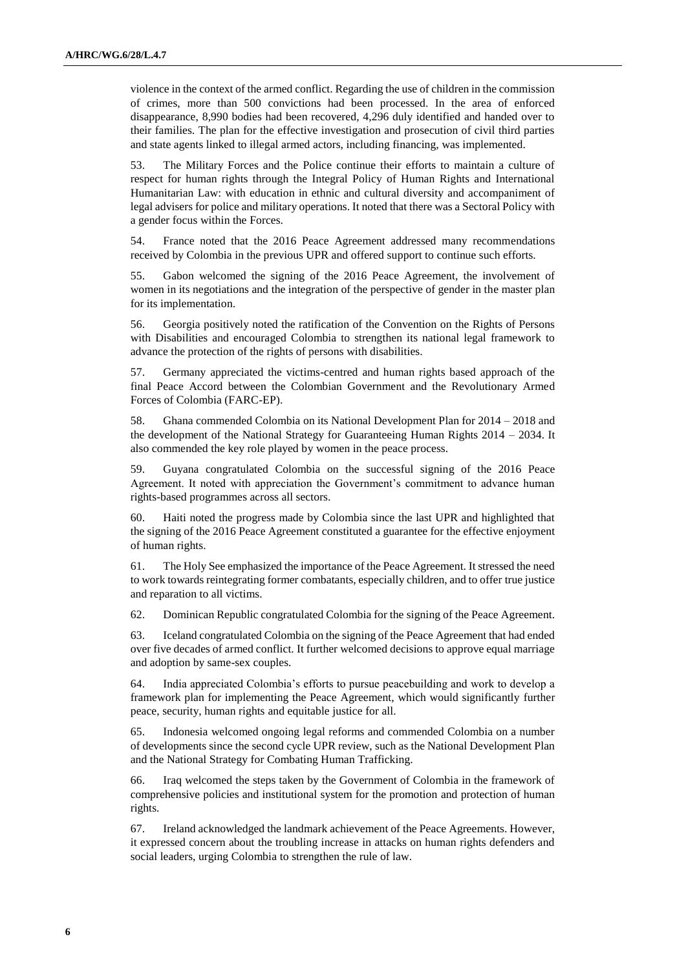violence in the context of the armed conflict. Regarding the use of children in the commission of crimes, more than 500 convictions had been processed. In the area of enforced disappearance, 8,990 bodies had been recovered, 4,296 duly identified and handed over to their families. The plan for the effective investigation and prosecution of civil third parties and state agents linked to illegal armed actors, including financing, was implemented.

53. The Military Forces and the Police continue their efforts to maintain a culture of respect for human rights through the Integral Policy of Human Rights and International Humanitarian Law: with education in ethnic and cultural diversity and accompaniment of legal advisers for police and military operations. It noted that there was a Sectoral Policy with a gender focus within the Forces.

54. France noted that the 2016 Peace Agreement addressed many recommendations received by Colombia in the previous UPR and offered support to continue such efforts.

55. Gabon welcomed the signing of the 2016 Peace Agreement, the involvement of women in its negotiations and the integration of the perspective of gender in the master plan for its implementation.

56. Georgia positively noted the ratification of the Convention on the Rights of Persons with Disabilities and encouraged Colombia to strengthen its national legal framework to advance the protection of the rights of persons with disabilities.

57. Germany appreciated the victims-centred and human rights based approach of the final Peace Accord between the Colombian Government and the Revolutionary Armed Forces of Colombia (FARC-EP).

58. Ghana commended Colombia on its National Development Plan for 2014 – 2018 and the development of the National Strategy for Guaranteeing Human Rights 2014 – 2034. It also commended the key role played by women in the peace process.

59. Guyana congratulated Colombia on the successful signing of the 2016 Peace Agreement. It noted with appreciation the Government's commitment to advance human rights-based programmes across all sectors.

60. Haiti noted the progress made by Colombia since the last UPR and highlighted that the signing of the 2016 Peace Agreement constituted a guarantee for the effective enjoyment of human rights.

61. The Holy See emphasized the importance of the Peace Agreement. It stressed the need to work towards reintegrating former combatants, especially children, and to offer true justice and reparation to all victims.

62. Dominican Republic congratulated Colombia for the signing of the Peace Agreement.

63. Iceland congratulated Colombia on the signing of the Peace Agreement that had ended over five decades of armed conflict. It further welcomed decisions to approve equal marriage and adoption by same-sex couples.

64. India appreciated Colombia's efforts to pursue peacebuilding and work to develop a framework plan for implementing the Peace Agreement, which would significantly further peace, security, human rights and equitable justice for all.

65. Indonesia welcomed ongoing legal reforms and commended Colombia on a number of developments since the second cycle UPR review, such as the National Development Plan and the National Strategy for Combating Human Trafficking.

66. Iraq welcomed the steps taken by the Government of Colombia in the framework of comprehensive policies and institutional system for the promotion and protection of human rights.

67. Ireland acknowledged the landmark achievement of the Peace Agreements. However, it expressed concern about the troubling increase in attacks on human rights defenders and social leaders, urging Colombia to strengthen the rule of law.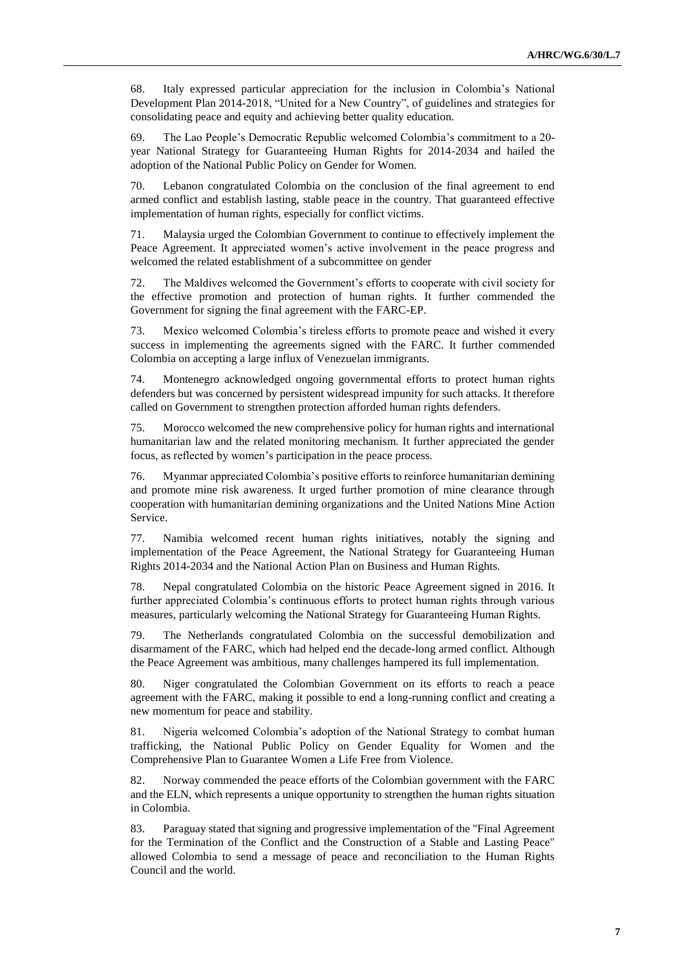68. Italy expressed particular appreciation for the inclusion in Colombia's National Development Plan 2014-2018, "United for a New Country", of guidelines and strategies for consolidating peace and equity and achieving better quality education.

69. The Lao People's Democratic Republic welcomed Colombia's commitment to a 20 year National Strategy for Guaranteeing Human Rights for 2014-2034 and hailed the adoption of the National Public Policy on Gender for Women.

70. Lebanon congratulated Colombia on the conclusion of the final agreement to end armed conflict and establish lasting, stable peace in the country. That guaranteed effective implementation of human rights, especially for conflict victims.

71. Malaysia urged the Colombian Government to continue to effectively implement the Peace Agreement. It appreciated women's active involvement in the peace progress and welcomed the related establishment of a subcommittee on gender

72. The Maldives welcomed the Government's efforts to cooperate with civil society for the effective promotion and protection of human rights. It further commended the Government for signing the final agreement with the FARC-EP.

73. Mexico welcomed Colombia's tireless efforts to promote peace and wished it every success in implementing the agreements signed with the FARC. It further commended Colombia on accepting a large influx of Venezuelan immigrants.

74. Montenegro acknowledged ongoing governmental efforts to protect human rights defenders but was concerned by persistent widespread impunity for such attacks. It therefore called on Government to strengthen protection afforded human rights defenders.

75. Morocco welcomed the new comprehensive policy for human rights and international humanitarian law and the related monitoring mechanism. It further appreciated the gender focus, as reflected by women's participation in the peace process.

76. Myanmar appreciated Colombia's positive efforts to reinforce humanitarian demining and promote mine risk awareness. It urged further promotion of mine clearance through cooperation with humanitarian demining organizations and the United Nations Mine Action Service.

77. Namibia welcomed recent human rights initiatives, notably the signing and implementation of the Peace Agreement, the National Strategy for Guaranteeing Human Rights 2014-2034 and the National Action Plan on Business and Human Rights.

78. Nepal congratulated Colombia on the historic Peace Agreement signed in 2016. It further appreciated Colombia's continuous efforts to protect human rights through various measures, particularly welcoming the National Strategy for Guaranteeing Human Rights.

79. The Netherlands congratulated Colombia on the successful demobilization and disarmament of the FARC, which had helped end the decade-long armed conflict. Although the Peace Agreement was ambitious, many challenges hampered its full implementation.

80. Niger congratulated the Colombian Government on its efforts to reach a peace agreement with the FARC, making it possible to end a long-running conflict and creating a new momentum for peace and stability.

81. Nigeria welcomed Colombia's adoption of the National Strategy to combat human trafficking, the National Public Policy on Gender Equality for Women and the Comprehensive Plan to Guarantee Women a Life Free from Violence.

82. Norway commended the peace efforts of the Colombian government with the FARC and the ELN, which represents a unique opportunity to strengthen the human rights situation in Colombia.

83. Paraguay stated that signing and progressive implementation of the "Final Agreement for the Termination of the Conflict and the Construction of a Stable and Lasting Peace" allowed Colombia to send a message of peace and reconciliation to the Human Rights Council and the world.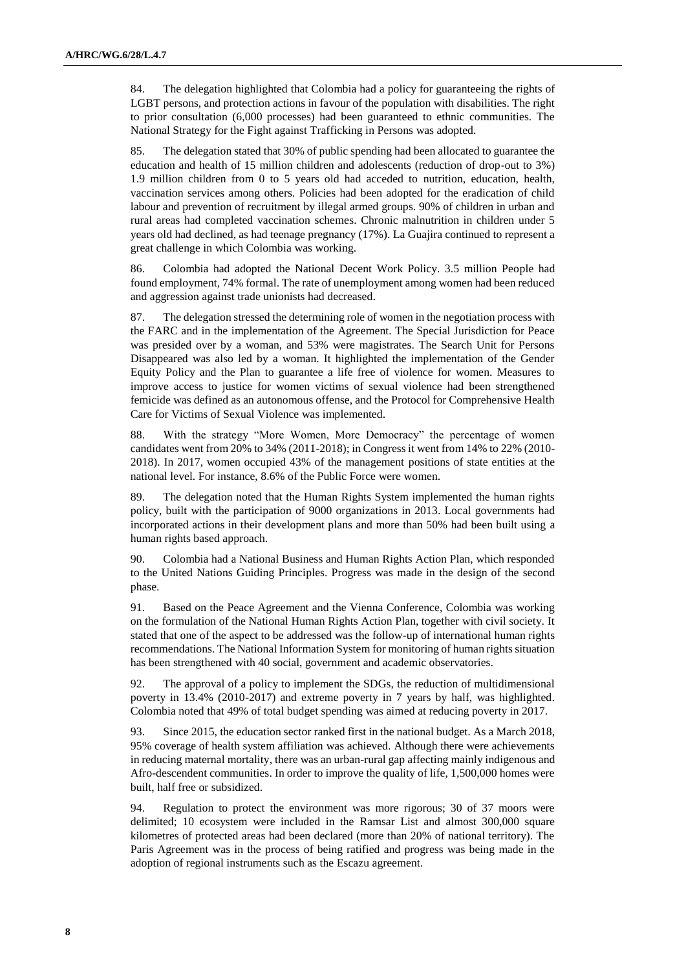84. The delegation highlighted that Colombia had a policy for guaranteeing the rights of LGBT persons, and protection actions in favour of the population with disabilities. The right to prior consultation (6,000 processes) had been guaranteed to ethnic communities. The National Strategy for the Fight against Trafficking in Persons was adopted.

85. The delegation stated that 30% of public spending had been allocated to guarantee the education and health of 15 million children and adolescents (reduction of drop-out to 3%) 1.9 million children from 0 to 5 years old had acceded to nutrition, education, health, vaccination services among others. Policies had been adopted for the eradication of child labour and prevention of recruitment by illegal armed groups. 90% of children in urban and rural areas had completed vaccination schemes. Chronic malnutrition in children under 5 years old had declined, as had teenage pregnancy (17%). La Guajira continued to represent a great challenge in which Colombia was working.

86. Colombia had adopted the National Decent Work Policy. 3.5 million People had found employment, 74% formal. The rate of unemployment among women had been reduced and aggression against trade unionists had decreased.

87. The delegation stressed the determining role of women in the negotiation process with the FARC and in the implementation of the Agreement. The Special Jurisdiction for Peace was presided over by a woman, and 53% were magistrates. The Search Unit for Persons Disappeared was also led by a woman. It highlighted the implementation of the Gender Equity Policy and the Plan to guarantee a life free of violence for women. Measures to improve access to justice for women victims of sexual violence had been strengthened femicide was defined as an autonomous offense, and the Protocol for Comprehensive Health Care for Victims of Sexual Violence was implemented.

88. With the strategy "More Women, More Democracy" the percentage of women candidates went from 20% to 34% (2011-2018); in Congress it went from 14% to 22% (2010- 2018). In 2017, women occupied 43% of the management positions of state entities at the national level. For instance, 8.6% of the Public Force were women.

89. The delegation noted that the Human Rights System implemented the human rights policy, built with the participation of 9000 organizations in 2013. Local governments had incorporated actions in their development plans and more than 50% had been built using a human rights based approach.

90. Colombia had a National Business and Human Rights Action Plan, which responded to the United Nations Guiding Principles. Progress was made in the design of the second phase.

91. Based on the Peace Agreement and the Vienna Conference, Colombia was working on the formulation of the National Human Rights Action Plan, together with civil society. It stated that one of the aspect to be addressed was the follow-up of international human rights recommendations. The National Information System for monitoring of human rights situation has been strengthened with 40 social, government and academic observatories.

92. The approval of a policy to implement the SDGs, the reduction of multidimensional poverty in 13.4% (2010-2017) and extreme poverty in 7 years by half, was highlighted. Colombia noted that 49% of total budget spending was aimed at reducing poverty in 2017.

93. Since 2015, the education sector ranked first in the national budget. As a March 2018, 95% coverage of health system affiliation was achieved. Although there were achievements in reducing maternal mortality, there was an urban-rural gap affecting mainly indigenous and Afro-descendent communities. In order to improve the quality of life, 1,500,000 homes were built, half free or subsidized.

94. Regulation to protect the environment was more rigorous; 30 of 37 moors were delimited; 10 ecosystem were included in the Ramsar List and almost 300,000 square kilometres of protected areas had been declared (more than 20% of national territory). The Paris Agreement was in the process of being ratified and progress was being made in the adoption of regional instruments such as the Escazu agreement.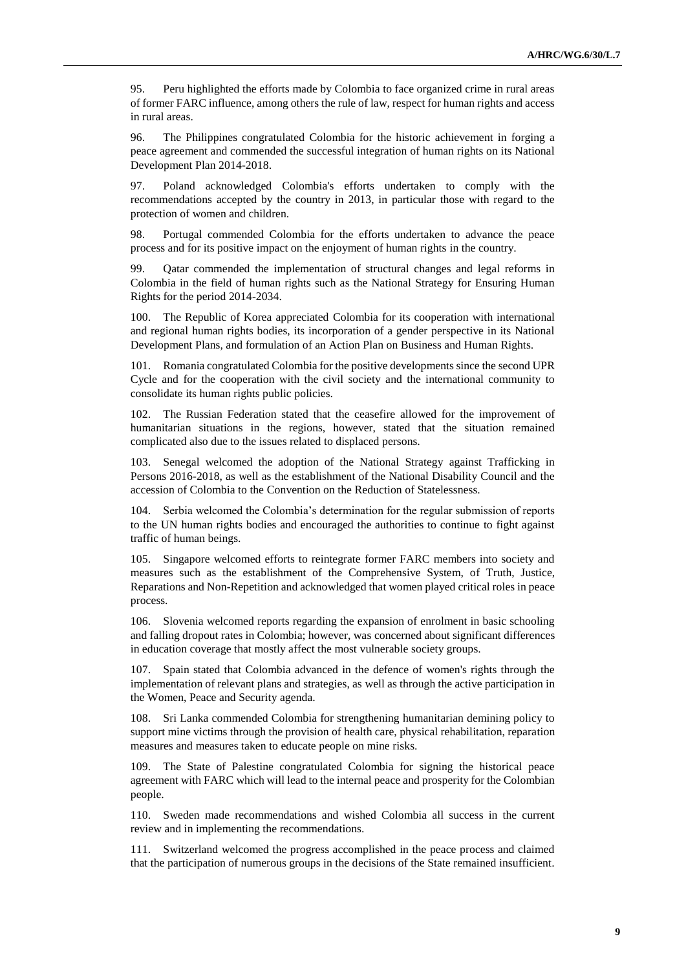95. Peru highlighted the efforts made by Colombia to face organized crime in rural areas of former FARC influence, among others the rule of law, respect for human rights and access in rural areas.

96. The Philippines congratulated Colombia for the historic achievement in forging a peace agreement and commended the successful integration of human rights on its National Development Plan 2014-2018.

97. Poland acknowledged Colombia's efforts undertaken to comply with the recommendations accepted by the country in 2013, in particular those with regard to the protection of women and children.

98. Portugal commended Colombia for the efforts undertaken to advance the peace process and for its positive impact on the enjoyment of human rights in the country.

99. Qatar commended the implementation of structural changes and legal reforms in Colombia in the field of human rights such as the National Strategy for Ensuring Human Rights for the period 2014-2034.

100. The Republic of Korea appreciated Colombia for its cooperation with international and regional human rights bodies, its incorporation of a gender perspective in its National Development Plans, and formulation of an Action Plan on Business and Human Rights.

101. Romania congratulated Colombia for the positive developments since the second UPR Cycle and for the cooperation with the civil society and the international community to consolidate its human rights public policies.

102. The Russian Federation stated that the ceasefire allowed for the improvement of humanitarian situations in the regions, however, stated that the situation remained complicated also due to the issues related to displaced persons.

103. Senegal welcomed the adoption of the National Strategy against Trafficking in Persons 2016-2018, as well as the establishment of the National Disability Council and the accession of Colombia to the Convention on the Reduction of Statelessness.

104. Serbia welcomed the Colombia's determination for the regular submission of reports to the UN human rights bodies and encouraged the authorities to continue to fight against traffic of human beings.

105. Singapore welcomed efforts to reintegrate former FARC members into society and measures such as the establishment of the Comprehensive System, of Truth, Justice, Reparations and Non-Repetition and acknowledged that women played critical roles in peace process.

106. Slovenia welcomed reports regarding the expansion of enrolment in basic schooling and falling dropout rates in Colombia; however, was concerned about significant differences in education coverage that mostly affect the most vulnerable society groups.

107. Spain stated that Colombia advanced in the defence of women's rights through the implementation of relevant plans and strategies, as well as through the active participation in the Women, Peace and Security agenda.

108. Sri Lanka commended Colombia for strengthening humanitarian demining policy to support mine victims through the provision of health care, physical rehabilitation, reparation measures and measures taken to educate people on mine risks.

109. The State of Palestine congratulated Colombia for signing the historical peace agreement with FARC which will lead to the internal peace and prosperity for the Colombian people.

110. Sweden made recommendations and wished Colombia all success in the current review and in implementing the recommendations.

111. Switzerland welcomed the progress accomplished in the peace process and claimed that the participation of numerous groups in the decisions of the State remained insufficient.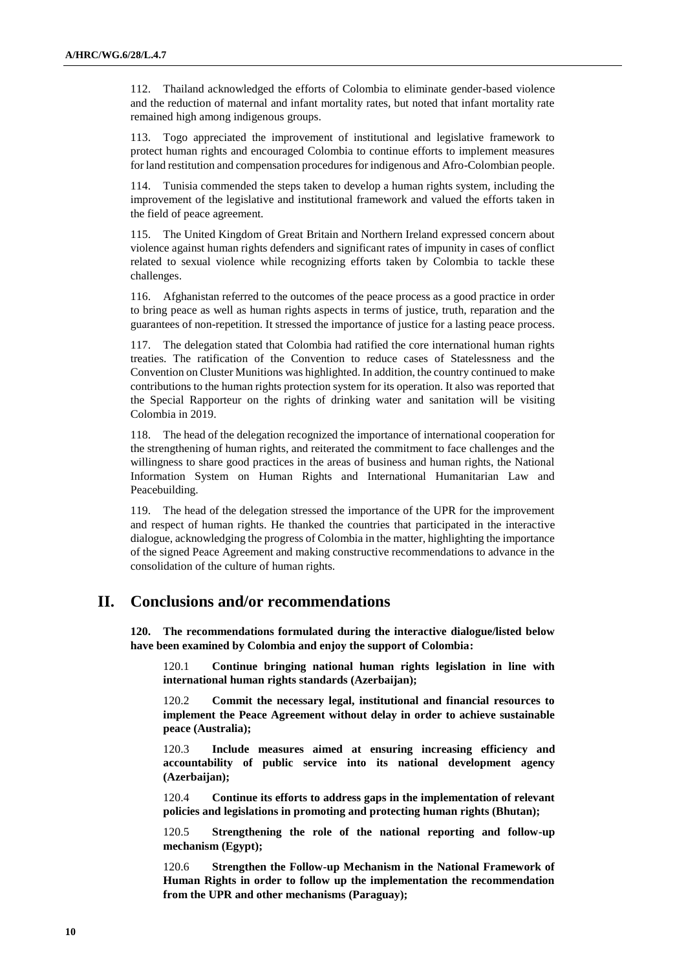112. Thailand acknowledged the efforts of Colombia to eliminate gender-based violence and the reduction of maternal and infant mortality rates, but noted that infant mortality rate remained high among indigenous groups.

113. Togo appreciated the improvement of institutional and legislative framework to protect human rights and encouraged Colombia to continue efforts to implement measures for land restitution and compensation procedures for indigenous and Afro-Colombian people.

114. Tunisia commended the steps taken to develop a human rights system, including the improvement of the legislative and institutional framework and valued the efforts taken in the field of peace agreement.

115. The United Kingdom of Great Britain and Northern Ireland expressed concern about violence against human rights defenders and significant rates of impunity in cases of conflict related to sexual violence while recognizing efforts taken by Colombia to tackle these challenges.

116. Afghanistan referred to the outcomes of the peace process as a good practice in order to bring peace as well as human rights aspects in terms of justice, truth, reparation and the guarantees of non-repetition. It stressed the importance of justice for a lasting peace process.

117. The delegation stated that Colombia had ratified the core international human rights treaties. The ratification of the Convention to reduce cases of Statelessness and the Convention on Cluster Munitions was highlighted. In addition, the country continued to make contributions to the human rights protection system for its operation. It also was reported that the Special Rapporteur on the rights of drinking water and sanitation will be visiting Colombia in 2019.

118. The head of the delegation recognized the importance of international cooperation for the strengthening of human rights, and reiterated the commitment to face challenges and the willingness to share good practices in the areas of business and human rights, the National Information System on Human Rights and International Humanitarian Law and Peacebuilding.

119. The head of the delegation stressed the importance of the UPR for the improvement and respect of human rights. He thanked the countries that participated in the interactive dialogue, acknowledging the progress of Colombia in the matter, highlighting the importance of the signed Peace Agreement and making constructive recommendations to advance in the consolidation of the culture of human rights.

## **II. Conclusions and/or recommendations**

**120. The recommendations formulated during the interactive dialogue/listed below have been examined by Colombia and enjoy the support of Colombia:**

120.1 **Continue bringing national human rights legislation in line with international human rights standards (Azerbaijan);**

120.2 **Commit the necessary legal, institutional and financial resources to implement the Peace Agreement without delay in order to achieve sustainable peace (Australia);**

120.3 **Include measures aimed at ensuring increasing efficiency and accountability of public service into its national development agency (Azerbaijan);**

120.4 **Continue its efforts to address gaps in the implementation of relevant policies and legislations in promoting and protecting human rights (Bhutan);**

120.5 **Strengthening the role of the national reporting and follow-up mechanism (Egypt);**

120.6 **Strengthen the Follow-up Mechanism in the National Framework of Human Rights in order to follow up the implementation the recommendation from the UPR and other mechanisms (Paraguay);**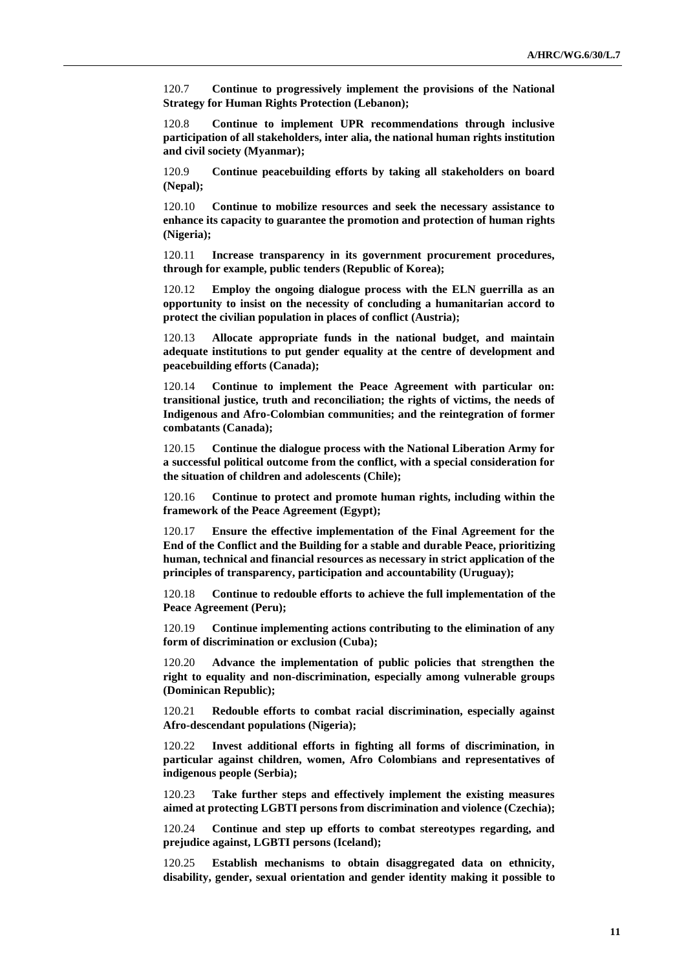120.7 **Continue to progressively implement the provisions of the National Strategy for Human Rights Protection (Lebanon);**

120.8 **Continue to implement UPR recommendations through inclusive participation of all stakeholders, inter alia, the national human rights institution and civil society (Myanmar);**

120.9 **Continue peacebuilding efforts by taking all stakeholders on board (Nepal);**

120.10 **Continue to mobilize resources and seek the necessary assistance to enhance its capacity to guarantee the promotion and protection of human rights (Nigeria);**

120.11 **Increase transparency in its government procurement procedures, through for example, public tenders (Republic of Korea);**

120.12 **Employ the ongoing dialogue process with the ELN guerrilla as an opportunity to insist on the necessity of concluding a humanitarian accord to protect the civilian population in places of conflict (Austria);**

120.13 **Allocate appropriate funds in the national budget, and maintain adequate institutions to put gender equality at the centre of development and peacebuilding efforts (Canada);**

120.14 **Continue to implement the Peace Agreement with particular on: transitional justice, truth and reconciliation; the rights of victims, the needs of Indigenous and Afro-Colombian communities; and the reintegration of former combatants (Canada);**

120.15 **Continue the dialogue process with the National Liberation Army for a successful political outcome from the conflict, with a special consideration for the situation of children and adolescents (Chile);**

120.16 **Continue to protect and promote human rights, including within the framework of the Peace Agreement (Egypt);**

120.17 **Ensure the effective implementation of the Final Agreement for the End of the Conflict and the Building for a stable and durable Peace, prioritizing human, technical and financial resources as necessary in strict application of the principles of transparency, participation and accountability (Uruguay);**

120.18 **Continue to redouble efforts to achieve the full implementation of the Peace Agreement (Peru);**

120.19 **Continue implementing actions contributing to the elimination of any form of discrimination or exclusion (Cuba);**

120.20 **Advance the implementation of public policies that strengthen the right to equality and non-discrimination, especially among vulnerable groups (Dominican Republic);**

120.21 **Redouble efforts to combat racial discrimination, especially against Afro-descendant populations (Nigeria);**

120.22 **Invest additional efforts in fighting all forms of discrimination, in particular against children, women, Afro Colombians and representatives of indigenous people (Serbia);**

120.23 **Take further steps and effectively implement the existing measures aimed at protecting LGBTI persons from discrimination and violence (Czechia);**

120.24 **Continue and step up efforts to combat stereotypes regarding, and prejudice against, LGBTI persons (Iceland);**

120.25 **Establish mechanisms to obtain disaggregated data on ethnicity, disability, gender, sexual orientation and gender identity making it possible to**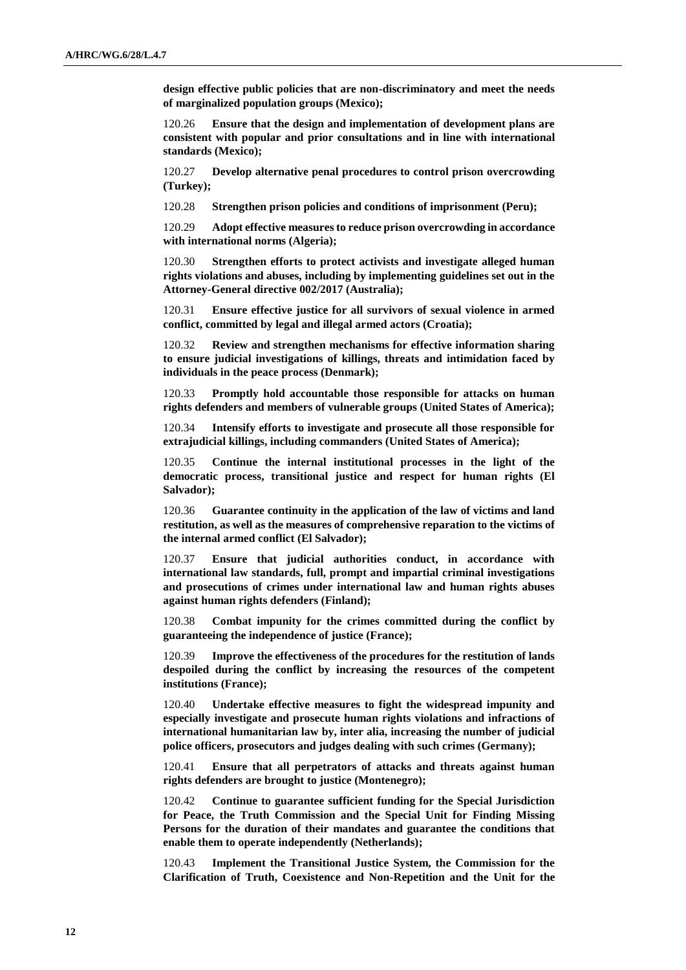**design effective public policies that are non-discriminatory and meet the needs of marginalized population groups (Mexico);**

120.26 **Ensure that the design and implementation of development plans are consistent with popular and prior consultations and in line with international standards (Mexico);**

120.27 **Develop alternative penal procedures to control prison overcrowding (Turkey);**

120.28 **Strengthen prison policies and conditions of imprisonment (Peru);**

120.29 **Adopt effective measures to reduce prison overcrowding in accordance with international norms (Algeria);**

120.30 **Strengthen efforts to protect activists and investigate alleged human rights violations and abuses, including by implementing guidelines set out in the Attorney-General directive 002/2017 (Australia);**

120.31 **Ensure effective justice for all survivors of sexual violence in armed conflict, committed by legal and illegal armed actors (Croatia);**

120.32 **Review and strengthen mechanisms for effective information sharing to ensure judicial investigations of killings, threats and intimidation faced by individuals in the peace process (Denmark);**

120.33 **Promptly hold accountable those responsible for attacks on human rights defenders and members of vulnerable groups (United States of America);**

120.34 **Intensify efforts to investigate and prosecute all those responsible for extrajudicial killings, including commanders (United States of America);**

120.35 **Continue the internal institutional processes in the light of the democratic process, transitional justice and respect for human rights (El Salvador);**

120.36 **Guarantee continuity in the application of the law of victims and land restitution, as well as the measures of comprehensive reparation to the victims of the internal armed conflict (El Salvador);**

120.37 **Ensure that judicial authorities conduct, in accordance with international law standards, full, prompt and impartial criminal investigations and prosecutions of crimes under international law and human rights abuses against human rights defenders (Finland);**

120.38 **Combat impunity for the crimes committed during the conflict by guaranteeing the independence of justice (France);**

120.39 **Improve the effectiveness of the procedures for the restitution of lands despoiled during the conflict by increasing the resources of the competent institutions (France);**

120.40 **Undertake effective measures to fight the widespread impunity and especially investigate and prosecute human rights violations and infractions of international humanitarian law by, inter alia, increasing the number of judicial police officers, prosecutors and judges dealing with such crimes (Germany);**

120.41 **Ensure that all perpetrators of attacks and threats against human rights defenders are brought to justice (Montenegro);**

120.42 **Continue to guarantee sufficient funding for the Special Jurisdiction for Peace, the Truth Commission and the Special Unit for Finding Missing Persons for the duration of their mandates and guarantee the conditions that enable them to operate independently (Netherlands);**

120.43 **Implement the Transitional Justice System, the Commission for the Clarification of Truth, Coexistence and Non-Repetition and the Unit for the**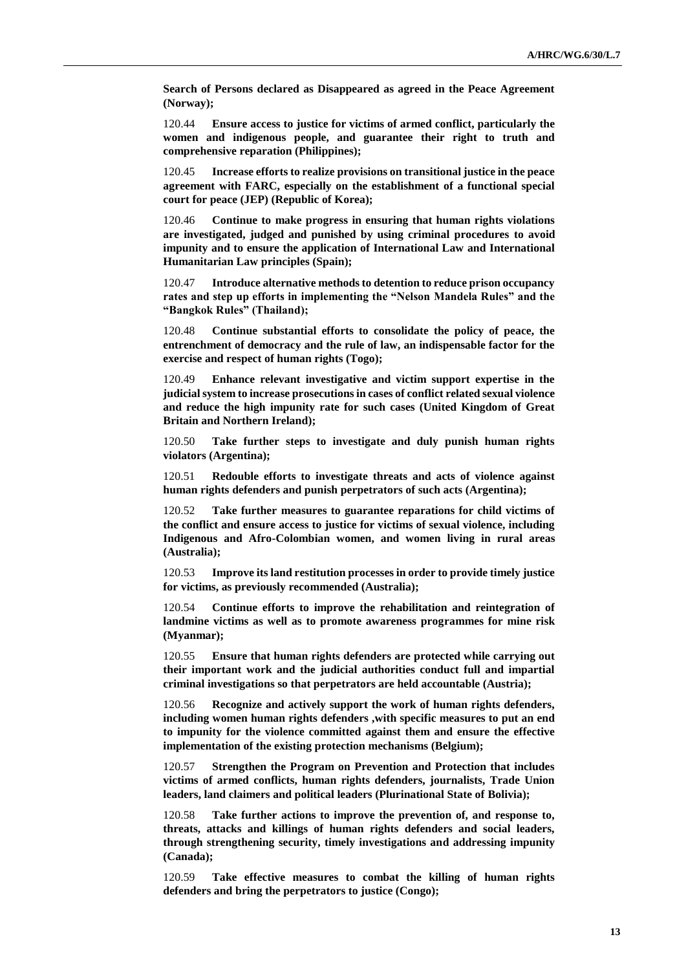**Search of Persons declared as Disappeared as agreed in the Peace Agreement (Norway);**

120.44 **Ensure access to justice for victims of armed conflict, particularly the women and indigenous people, and guarantee their right to truth and comprehensive reparation (Philippines);**

120.45 **Increase efforts to realize provisions on transitional justice in the peace agreement with FARC, especially on the establishment of a functional special court for peace (JEP) (Republic of Korea);**

120.46 **Continue to make progress in ensuring that human rights violations are investigated, judged and punished by using criminal procedures to avoid impunity and to ensure the application of International Law and International Humanitarian Law principles (Spain);**

120.47 **Introduce alternative methods to detention to reduce prison occupancy rates and step up efforts in implementing the "Nelson Mandela Rules" and the "Bangkok Rules" (Thailand);**

120.48 **Continue substantial efforts to consolidate the policy of peace, the entrenchment of democracy and the rule of law, an indispensable factor for the exercise and respect of human rights (Togo);**

120.49 **Enhance relevant investigative and victim support expertise in the judicial system to increase prosecutions in cases of conflict related sexual violence and reduce the high impunity rate for such cases (United Kingdom of Great Britain and Northern Ireland);**

120.50 **Take further steps to investigate and duly punish human rights violators (Argentina);**

120.51 **Redouble efforts to investigate threats and acts of violence against human rights defenders and punish perpetrators of such acts (Argentina);**

120.52 **Take further measures to guarantee reparations for child victims of the conflict and ensure access to justice for victims of sexual violence, including Indigenous and Afro-Colombian women, and women living in rural areas (Australia);**

120.53 **Improve its land restitution processes in order to provide timely justice for victims, as previously recommended (Australia);**

120.54 **Continue efforts to improve the rehabilitation and reintegration of landmine victims as well as to promote awareness programmes for mine risk (Myanmar);**

120.55 **Ensure that human rights defenders are protected while carrying out their important work and the judicial authorities conduct full and impartial criminal investigations so that perpetrators are held accountable (Austria);**

120.56 **Recognize and actively support the work of human rights defenders, including women human rights defenders ,with specific measures to put an end to impunity for the violence committed against them and ensure the effective implementation of the existing protection mechanisms (Belgium);**

120.57 **Strengthen the Program on Prevention and Protection that includes victims of armed conflicts, human rights defenders, journalists, Trade Union leaders, land claimers and political leaders (Plurinational State of Bolivia);**

120.58 **Take further actions to improve the prevention of, and response to, threats, attacks and killings of human rights defenders and social leaders, through strengthening security, timely investigations and addressing impunity (Canada);**

120.59 **Take effective measures to combat the killing of human rights defenders and bring the perpetrators to justice (Congo);**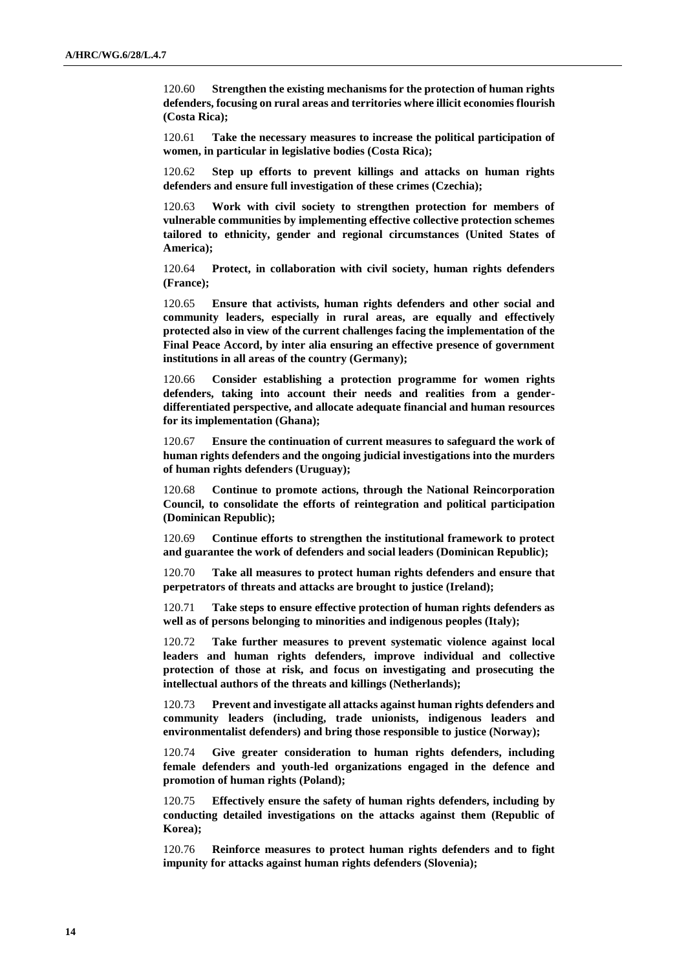120.60 **Strengthen the existing mechanisms for the protection of human rights defenders, focusing on rural areas and territories where illicit economies flourish (Costa Rica);**

120.61 **Take the necessary measures to increase the political participation of women, in particular in legislative bodies (Costa Rica);**

120.62 **Step up efforts to prevent killings and attacks on human rights defenders and ensure full investigation of these crimes (Czechia);**

120.63 **Work with civil society to strengthen protection for members of vulnerable communities by implementing effective collective protection schemes tailored to ethnicity, gender and regional circumstances (United States of America);**

120.64 **Protect, in collaboration with civil society, human rights defenders (France);**

120.65 **Ensure that activists, human rights defenders and other social and community leaders, especially in rural areas, are equally and effectively protected also in view of the current challenges facing the implementation of the Final Peace Accord, by inter alia ensuring an effective presence of government institutions in all areas of the country (Germany);**

120.66 **Consider establishing a protection programme for women rights defenders, taking into account their needs and realities from a genderdifferentiated perspective, and allocate adequate financial and human resources for its implementation (Ghana);**

120.67 **Ensure the continuation of current measures to safeguard the work of human rights defenders and the ongoing judicial investigations into the murders of human rights defenders (Uruguay);**

120.68 **Continue to promote actions, through the National Reincorporation Council, to consolidate the efforts of reintegration and political participation (Dominican Republic);**

120.69 **Continue efforts to strengthen the institutional framework to protect and guarantee the work of defenders and social leaders (Dominican Republic);**

120.70 **Take all measures to protect human rights defenders and ensure that perpetrators of threats and attacks are brought to justice (Ireland);**

120.71 **Take steps to ensure effective protection of human rights defenders as well as of persons belonging to minorities and indigenous peoples (Italy);**

120.72 **Take further measures to prevent systematic violence against local leaders and human rights defenders, improve individual and collective protection of those at risk, and focus on investigating and prosecuting the intellectual authors of the threats and killings (Netherlands);**

120.73 **Prevent and investigate all attacks against human rights defenders and community leaders (including, trade unionists, indigenous leaders and environmentalist defenders) and bring those responsible to justice (Norway);**

120.74 **Give greater consideration to human rights defenders, including female defenders and youth-led organizations engaged in the defence and promotion of human rights (Poland);**

Effectively ensure the safety of human rights defenders, including by **conducting detailed investigations on the attacks against them (Republic of Korea);**

120.76 **Reinforce measures to protect human rights defenders and to fight impunity for attacks against human rights defenders (Slovenia);**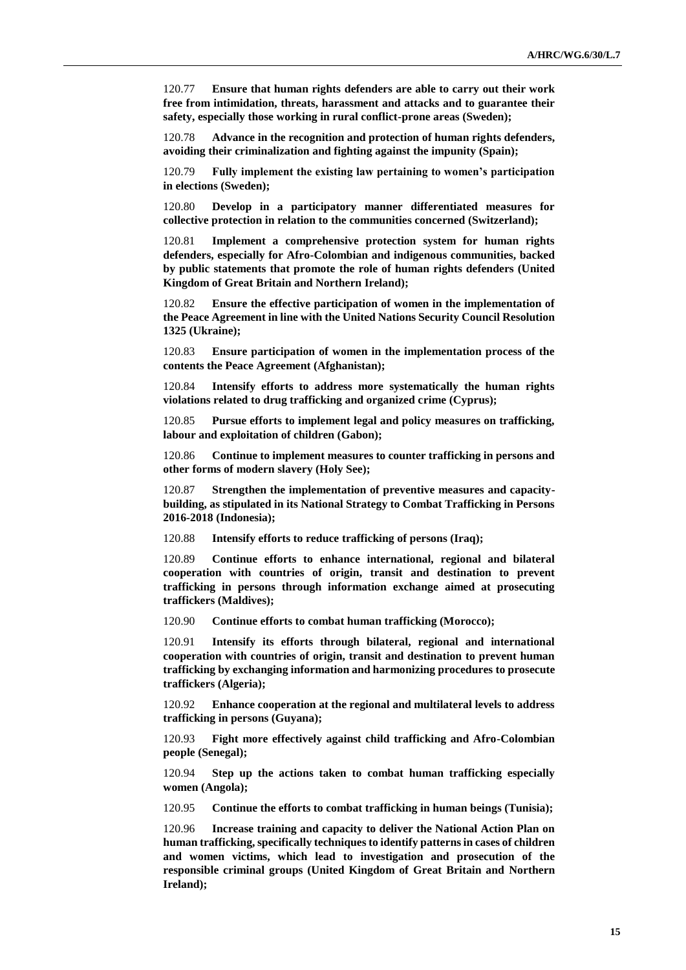120.77 **Ensure that human rights defenders are able to carry out their work free from intimidation, threats, harassment and attacks and to guarantee their safety, especially those working in rural conflict-prone areas (Sweden);**

120.78 **Advance in the recognition and protection of human rights defenders, avoiding their criminalization and fighting against the impunity (Spain);**

120.79 **Fully implement the existing law pertaining to women's participation in elections (Sweden);**

120.80 **Develop in a participatory manner differentiated measures for collective protection in relation to the communities concerned (Switzerland);**

120.81 **Implement a comprehensive protection system for human rights defenders, especially for Afro-Colombian and indigenous communities, backed by public statements that promote the role of human rights defenders (United Kingdom of Great Britain and Northern Ireland);**

120.82 **Ensure the effective participation of women in the implementation of the Peace Agreement in line with the United Nations Security Council Resolution 1325 (Ukraine);**

120.83 **Ensure participation of women in the implementation process of the contents the Peace Agreement (Afghanistan);**

120.84 **Intensify efforts to address more systematically the human rights violations related to drug trafficking and organized crime (Cyprus);**

120.85 **Pursue efforts to implement legal and policy measures on trafficking, labour and exploitation of children (Gabon);**

120.86 **Continue to implement measures to counter trafficking in persons and other forms of modern slavery (Holy See);**

120.87 **Strengthen the implementation of preventive measures and capacitybuilding, as stipulated in its National Strategy to Combat Trafficking in Persons 2016-2018 (Indonesia);**

120.88 **Intensify efforts to reduce trafficking of persons (Iraq);**

120.89 **Continue efforts to enhance international, regional and bilateral cooperation with countries of origin, transit and destination to prevent trafficking in persons through information exchange aimed at prosecuting traffickers (Maldives);**

120.90 **Continue efforts to combat human trafficking (Morocco);**

120.91 **Intensify its efforts through bilateral, regional and international cooperation with countries of origin, transit and destination to prevent human trafficking by exchanging information and harmonizing procedures to prosecute traffickers (Algeria);**

120.92 **Enhance cooperation at the regional and multilateral levels to address trafficking in persons (Guyana);**

120.93 **Fight more effectively against child trafficking and Afro-Colombian people (Senegal);**

120.94 **Step up the actions taken to combat human trafficking especially women (Angola);** 

120.95 **Continue the efforts to combat trafficking in human beings (Tunisia);**

120.96 **Increase training and capacity to deliver the National Action Plan on human trafficking, specifically techniques to identify patterns in cases of children and women victims, which lead to investigation and prosecution of the responsible criminal groups (United Kingdom of Great Britain and Northern Ireland);**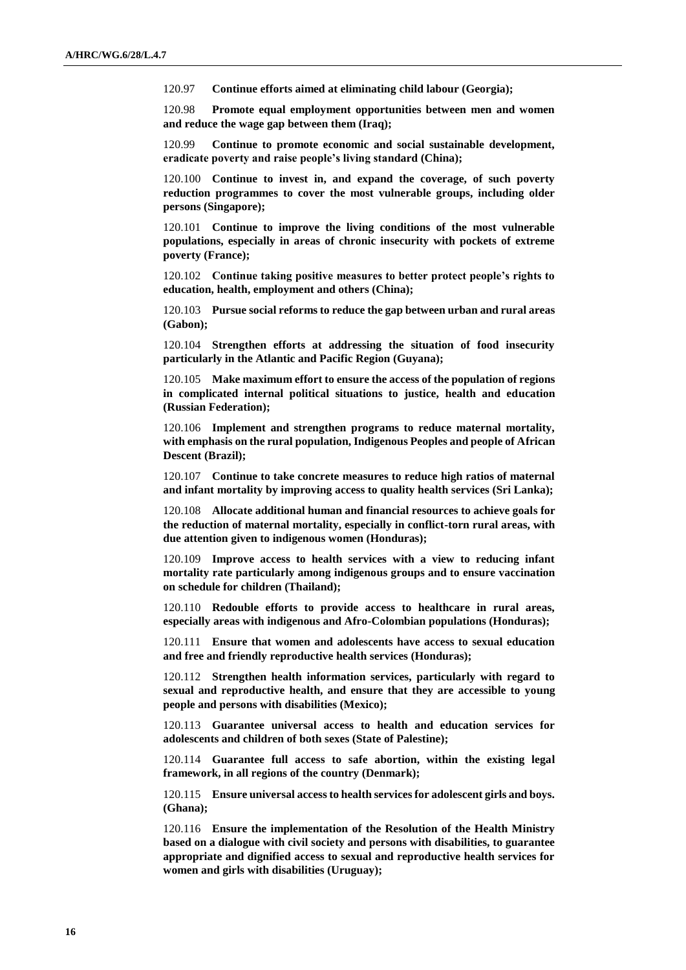120.97 **Continue efforts aimed at eliminating child labour (Georgia);**

120.98 **Promote equal employment opportunities between men and women and reduce the wage gap between them (Iraq);**

120.99 **Continue to promote economic and social sustainable development, eradicate poverty and raise people's living standard (China);**

120.100 **Continue to invest in, and expand the coverage, of such poverty reduction programmes to cover the most vulnerable groups, including older persons (Singapore);**

120.101 **Continue to improve the living conditions of the most vulnerable populations, especially in areas of chronic insecurity with pockets of extreme poverty (France);**

120.102 **Continue taking positive measures to better protect people's rights to education, health, employment and others (China);**

120.103 **Pursue social reforms to reduce the gap between urban and rural areas (Gabon);**

120.104 **Strengthen efforts at addressing the situation of food insecurity particularly in the Atlantic and Pacific Region (Guyana);**

120.105 **Make maximum effort to ensure the access of the population of regions in complicated internal political situations to justice, health and education (Russian Federation);**

120.106 **Implement and strengthen programs to reduce maternal mortality, with emphasis on the rural population, Indigenous Peoples and people of African Descent (Brazil);**

120.107 **Continue to take concrete measures to reduce high ratios of maternal and infant mortality by improving access to quality health services (Sri Lanka);**

120.108 **Allocate additional human and financial resources to achieve goals for the reduction of maternal mortality, especially in conflict-torn rural areas, with due attention given to indigenous women (Honduras);**

120.109 **Improve access to health services with a view to reducing infant mortality rate particularly among indigenous groups and to ensure vaccination on schedule for children (Thailand);**

120.110 **Redouble efforts to provide access to healthcare in rural areas, especially areas with indigenous and Afro-Colombian populations (Honduras);**

120.111 **Ensure that women and adolescents have access to sexual education and free and friendly reproductive health services (Honduras);**

120.112 **Strengthen health information services, particularly with regard to sexual and reproductive health, and ensure that they are accessible to young people and persons with disabilities (Mexico);**

120.113 **Guarantee universal access to health and education services for adolescents and children of both sexes (State of Palestine);**

120.114 **Guarantee full access to safe abortion, within the existing legal framework, in all regions of the country (Denmark);**

120.115 **Ensure universal access to health services for adolescent girls and boys. (Ghana);**

120.116 **Ensure the implementation of the Resolution of the Health Ministry based on a dialogue with civil society and persons with disabilities, to guarantee appropriate and dignified access to sexual and reproductive health services for women and girls with disabilities (Uruguay);**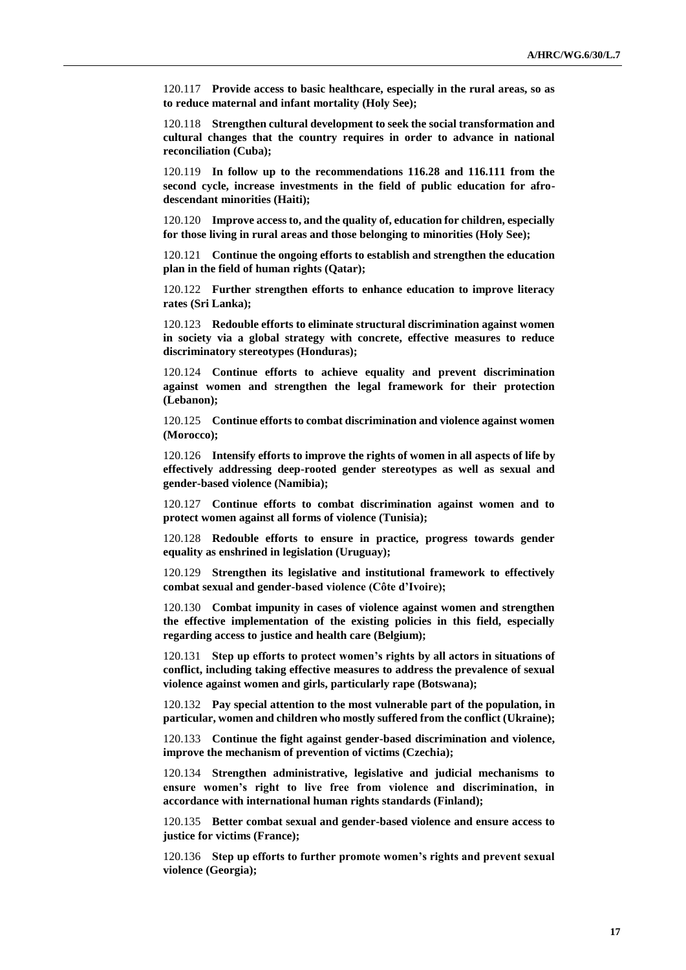120.117 **Provide access to basic healthcare, especially in the rural areas, so as to reduce maternal and infant mortality (Holy See);**

120.118 **Strengthen cultural development to seek the social transformation and cultural changes that the country requires in order to advance in national reconciliation (Cuba);**

120.119 **In follow up to the recommendations 116.28 and 116.111 from the second cycle, increase investments in the field of public education for afrodescendant minorities (Haiti);**

120.120 **Improve access to, and the quality of, education for children, especially for those living in rural areas and those belonging to minorities (Holy See);**

120.121 **Continue the ongoing efforts to establish and strengthen the education plan in the field of human rights (Qatar);**

120.122 **Further strengthen efforts to enhance education to improve literacy rates (Sri Lanka);**

120.123 **Redouble efforts to eliminate structural discrimination against women in society via a global strategy with concrete, effective measures to reduce discriminatory stereotypes (Honduras);**

120.124 **Continue efforts to achieve equality and prevent discrimination against women and strengthen the legal framework for their protection (Lebanon);**

120.125 **Continue efforts to combat discrimination and violence against women (Morocco);**

120.126 **Intensify efforts to improve the rights of women in all aspects of life by effectively addressing deep-rooted gender stereotypes as well as sexual and gender-based violence (Namibia);**

120.127 **Continue efforts to combat discrimination against women and to protect women against all forms of violence (Tunisia);**

120.128 **Redouble efforts to ensure in practice, progress towards gender equality as enshrined in legislation (Uruguay);**

120.129 **Strengthen its legislative and institutional framework to effectively combat sexual and gender-based violence (Côte d'Ivoire);**

120.130 **Combat impunity in cases of violence against women and strengthen the effective implementation of the existing policies in this field, especially regarding access to justice and health care (Belgium);**

120.131 **Step up efforts to protect women's rights by all actors in situations of conflict, including taking effective measures to address the prevalence of sexual violence against women and girls, particularly rape (Botswana);**

120.132 **Pay special attention to the most vulnerable part of the population, in particular, women and children who mostly suffered from the conflict (Ukraine);**

120.133 **Continue the fight against gender-based discrimination and violence, improve the mechanism of prevention of victims (Czechia);**

120.134 **Strengthen administrative, legislative and judicial mechanisms to ensure women's right to live free from violence and discrimination, in accordance with international human rights standards (Finland);**

120.135 **Better combat sexual and gender-based violence and ensure access to justice for victims (France);**

120.136 **Step up efforts to further promote women's rights and prevent sexual violence (Georgia);**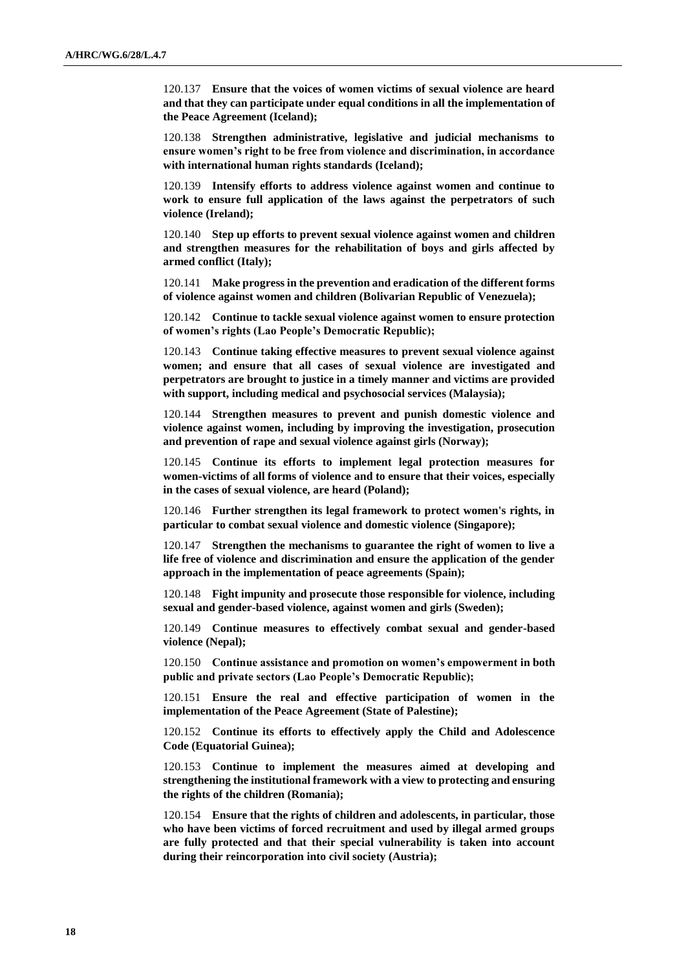120.137 **Ensure that the voices of women victims of sexual violence are heard and that they can participate under equal conditions in all the implementation of the Peace Agreement (Iceland);**

120.138 **Strengthen administrative, legislative and judicial mechanisms to ensure women's right to be free from violence and discrimination, in accordance with international human rights standards (Iceland);**

120.139 **Intensify efforts to address violence against women and continue to work to ensure full application of the laws against the perpetrators of such violence (Ireland);**

120.140 **Step up efforts to prevent sexual violence against women and children and strengthen measures for the rehabilitation of boys and girls affected by armed conflict (Italy);**

120.141 **Make progress in the prevention and eradication of the different forms of violence against women and children (Bolivarian Republic of Venezuela);**

120.142 **Continue to tackle sexual violence against women to ensure protection of women's rights (Lao People's Democratic Republic);**

120.143 **Continue taking effective measures to prevent sexual violence against women; and ensure that all cases of sexual violence are investigated and perpetrators are brought to justice in a timely manner and victims are provided with support, including medical and psychosocial services (Malaysia);**

120.144 **Strengthen measures to prevent and punish domestic violence and violence against women, including by improving the investigation, prosecution and prevention of rape and sexual violence against girls (Norway);**

120.145 **Continue its efforts to implement legal protection measures for women-victims of all forms of violence and to ensure that their voices, especially in the cases of sexual violence, are heard (Poland);**

120.146 **Further strengthen its legal framework to protect women's rights, in particular to combat sexual violence and domestic violence (Singapore);**

120.147 **Strengthen the mechanisms to guarantee the right of women to live a life free of violence and discrimination and ensure the application of the gender approach in the implementation of peace agreements (Spain);**

120.148 **Fight impunity and prosecute those responsible for violence, including sexual and gender-based violence, against women and girls (Sweden);**

120.149 **Continue measures to effectively combat sexual and gender-based violence (Nepal);**

120.150 **Continue assistance and promotion on women's empowerment in both public and private sectors (Lao People's Democratic Republic);**

120.151 **Ensure the real and effective participation of women in the implementation of the Peace Agreement (State of Palestine);**

120.152 **Continue its efforts to effectively apply the Child and Adolescence Code (Equatorial Guinea);**

120.153 **Continue to implement the measures aimed at developing and strengthening the institutional framework with a view to protecting and ensuring the rights of the children (Romania);**

120.154 **Ensure that the rights of children and adolescents, in particular, those who have been victims of forced recruitment and used by illegal armed groups are fully protected and that their special vulnerability is taken into account during their reincorporation into civil society (Austria);**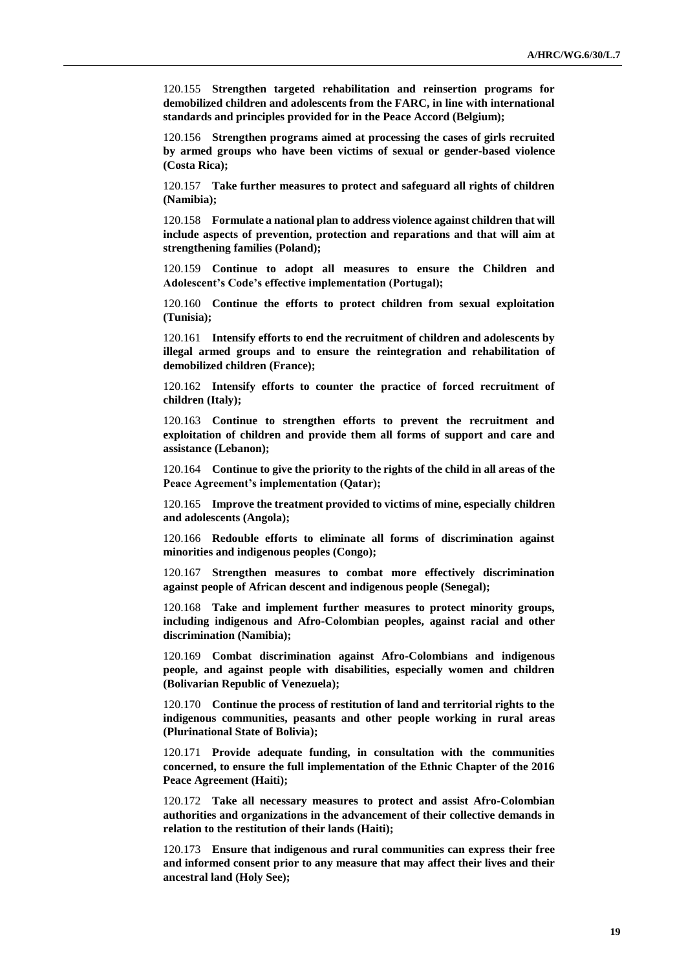120.155 **Strengthen targeted rehabilitation and reinsertion programs for demobilized children and adolescents from the FARC, in line with international standards and principles provided for in the Peace Accord (Belgium);**

120.156 **Strengthen programs aimed at processing the cases of girls recruited by armed groups who have been victims of sexual or gender-based violence (Costa Rica);**

120.157 **Take further measures to protect and safeguard all rights of children (Namibia);**

120.158 **Formulate a national plan to address violence against children that will include aspects of prevention, protection and reparations and that will aim at strengthening families (Poland);**

120.159 **Continue to adopt all measures to ensure the Children and Adolescent's Code's effective implementation (Portugal);**

120.160 **Continue the efforts to protect children from sexual exploitation (Tunisia);**

120.161 **Intensify efforts to end the recruitment of children and adolescents by illegal armed groups and to ensure the reintegration and rehabilitation of demobilized children (France);**

120.162 **Intensify efforts to counter the practice of forced recruitment of children (Italy);**

120.163 **Continue to strengthen efforts to prevent the recruitment and exploitation of children and provide them all forms of support and care and assistance (Lebanon);**

120.164 **Continue to give the priority to the rights of the child in all areas of the Peace Agreement's implementation (Qatar);**

120.165 **Improve the treatment provided to victims of mine, especially children and adolescents (Angola);**

120.166 **Redouble efforts to eliminate all forms of discrimination against minorities and indigenous peoples (Congo);**

120.167 **Strengthen measures to combat more effectively discrimination against people of African descent and indigenous people (Senegal);**

120.168 **Take and implement further measures to protect minority groups, including indigenous and Afro-Colombian peoples, against racial and other discrimination (Namibia);**

120.169 **Combat discrimination against Afro-Colombians and indigenous people, and against people with disabilities, especially women and children (Bolivarian Republic of Venezuela);**

120.170 **Continue the process of restitution of land and territorial rights to the indigenous communities, peasants and other people working in rural areas (Plurinational State of Bolivia);**

120.171 **Provide adequate funding, in consultation with the communities concerned, to ensure the full implementation of the Ethnic Chapter of the 2016 Peace Agreement (Haiti);**

120.172 **Take all necessary measures to protect and assist Afro-Colombian authorities and organizations in the advancement of their collective demands in relation to the restitution of their lands (Haiti);**

120.173 **Ensure that indigenous and rural communities can express their free and informed consent prior to any measure that may affect their lives and their ancestral land (Holy See);**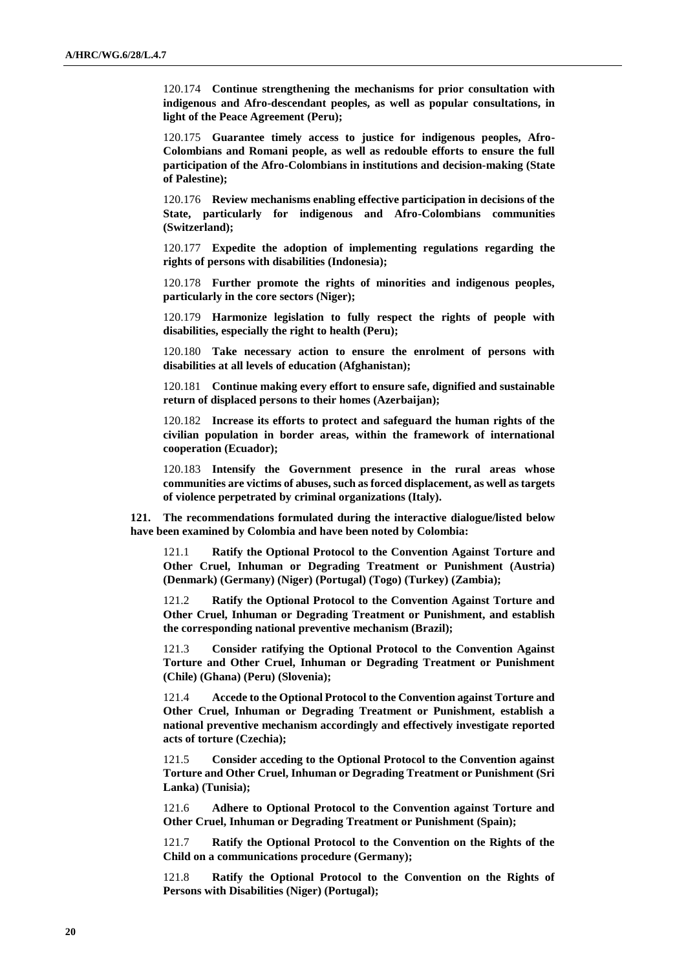120.174 **Continue strengthening the mechanisms for prior consultation with indigenous and Afro-descendant peoples, as well as popular consultations, in light of the Peace Agreement (Peru);**

120.175 **Guarantee timely access to justice for indigenous peoples, Afro-Colombians and Romani people, as well as redouble efforts to ensure the full participation of the Afro-Colombians in institutions and decision-making (State of Palestine);**

120.176 **Review mechanisms enabling effective participation in decisions of the State, particularly for indigenous and Afro-Colombians communities (Switzerland);**

120.177 **Expedite the adoption of implementing regulations regarding the rights of persons with disabilities (Indonesia);**

120.178 **Further promote the rights of minorities and indigenous peoples, particularly in the core sectors (Niger);**

120.179 **Harmonize legislation to fully respect the rights of people with disabilities, especially the right to health (Peru);**

120.180 **Take necessary action to ensure the enrolment of persons with disabilities at all levels of education (Afghanistan);**

120.181 **Continue making every effort to ensure safe, dignified and sustainable return of displaced persons to their homes (Azerbaijan);**

120.182 **Increase its efforts to protect and safeguard the human rights of the civilian population in border areas, within the framework of international cooperation (Ecuador);**

120.183 **Intensify the Government presence in the rural areas whose communities are victims of abuses, such as forced displacement, as well as targets of violence perpetrated by criminal organizations (Italy).**

**121. The recommendations formulated during the interactive dialogue/listed below have been examined by Colombia and have been noted by Colombia:**

121.1 **Ratify the Optional Protocol to the Convention Against Torture and Other Cruel, Inhuman or Degrading Treatment or Punishment (Austria) (Denmark) (Germany) (Niger) (Portugal) (Togo) (Turkey) (Zambia);**

121.2 **Ratify the Optional Protocol to the Convention Against Torture and Other Cruel, Inhuman or Degrading Treatment or Punishment, and establish the corresponding national preventive mechanism (Brazil);**

121.3 **Consider ratifying the Optional Protocol to the Convention Against Torture and Other Cruel, Inhuman or Degrading Treatment or Punishment (Chile) (Ghana) (Peru) (Slovenia);**

121.4 **Accede to the Optional Protocol to the Convention against Torture and Other Cruel, Inhuman or Degrading Treatment or Punishment, establish a national preventive mechanism accordingly and effectively investigate reported acts of torture (Czechia);**

121.5 **Consider acceding to the Optional Protocol to the Convention against Torture and Other Cruel, Inhuman or Degrading Treatment or Punishment (Sri Lanka) (Tunisia);**

121.6 **Adhere to Optional Protocol to the Convention against Torture and Other Cruel, Inhuman or Degrading Treatment or Punishment (Spain);**

121.7 **Ratify the Optional Protocol to the Convention on the Rights of the Child on a communications procedure (Germany);**

121.8 **Ratify the Optional Protocol to the Convention on the Rights of Persons with Disabilities (Niger) (Portugal);**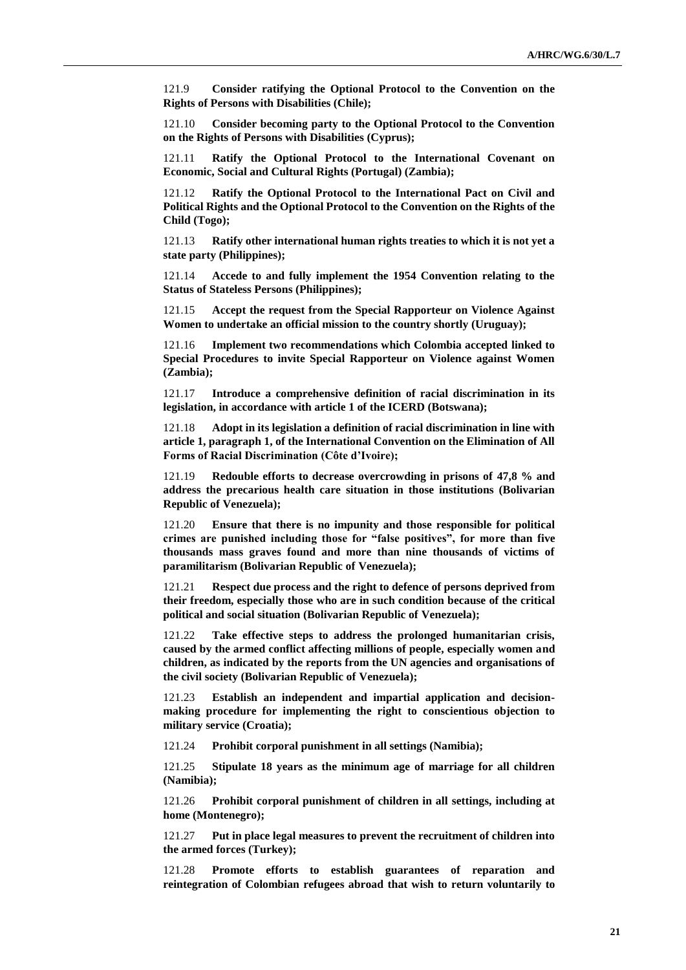121.9 **Consider ratifying the Optional Protocol to the Convention on the Rights of Persons with Disabilities (Chile);**

121.10 **Consider becoming party to the Optional Protocol to the Convention on the Rights of Persons with Disabilities (Cyprus);**

121.11 **Ratify the Optional Protocol to the International Covenant on Economic, Social and Cultural Rights (Portugal) (Zambia);**

121.12 **Ratify the Optional Protocol to the International Pact on Civil and Political Rights and the Optional Protocol to the Convention on the Rights of the Child (Togo);**

121.13 **Ratify other international human rights treaties to which it is not yet a state party (Philippines);**

121.14 **Accede to and fully implement the 1954 Convention relating to the Status of Stateless Persons (Philippines);**

121.15 **Accept the request from the Special Rapporteur on Violence Against Women to undertake an official mission to the country shortly (Uruguay);**

121.16 **Implement two recommendations which Colombia accepted linked to Special Procedures to invite Special Rapporteur on Violence against Women (Zambia);**

121.17 **Introduce a comprehensive definition of racial discrimination in its legislation, in accordance with article 1 of the ICERD (Botswana);**

121.18 **Adopt in its legislation a definition of racial discrimination in line with article 1, paragraph 1, of the International Convention on the Elimination of All Forms of Racial Discrimination (Côte d'Ivoire);**

121.19 **Redouble efforts to decrease overcrowding in prisons of 47,8 % and address the precarious health care situation in those institutions (Bolivarian Republic of Venezuela);**

121.20 **Ensure that there is no impunity and those responsible for political crimes are punished including those for "false positives", for more than five thousands mass graves found and more than nine thousands of victims of paramilitarism (Bolivarian Republic of Venezuela);**

121.21 **Respect due process and the right to defence of persons deprived from their freedom, especially those who are in such condition because of the critical political and social situation (Bolivarian Republic of Venezuela);**

121.22 **Take effective steps to address the prolonged humanitarian crisis, caused by the armed conflict affecting millions of people, especially women and children, as indicated by the reports from the UN agencies and organisations of the civil society (Bolivarian Republic of Venezuela);**

121.23 **Establish an independent and impartial application and decisionmaking procedure for implementing the right to conscientious objection to military service (Croatia);**

121.24 **Prohibit corporal punishment in all settings (Namibia);**

121.25 **Stipulate 18 years as the minimum age of marriage for all children (Namibia);**

121.26 **Prohibit corporal punishment of children in all settings, including at home (Montenegro);**

121.27 **Put in place legal measures to prevent the recruitment of children into the armed forces (Turkey);**

121.28 **Promote efforts to establish guarantees of reparation and reintegration of Colombian refugees abroad that wish to return voluntarily to**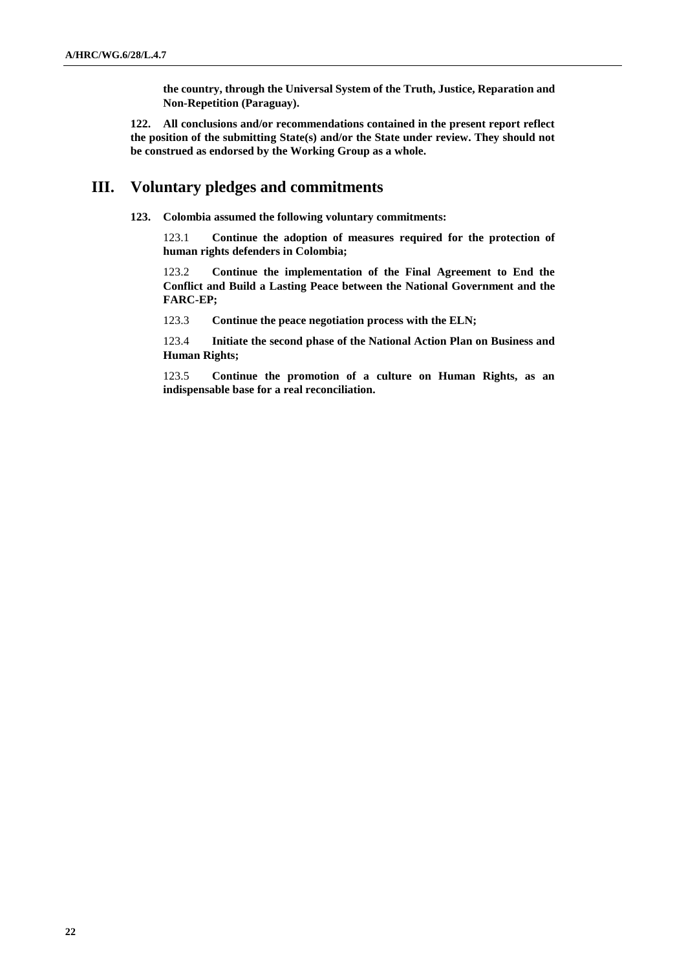**the country, through the Universal System of the Truth, Justice, Reparation and Non-Repetition (Paraguay).**

**122. All conclusions and/or recommendations contained in the present report reflect the position of the submitting State(s) and/or the State under review. They should not be construed as endorsed by the Working Group as a whole.**

# **III. Voluntary pledges and commitments**

**123. Colombia assumed the following voluntary commitments:**

123.1 **Continue the adoption of measures required for the protection of human rights defenders in Colombia;**

123.2 **Continue the implementation of the Final Agreement to End the Conflict and Build a Lasting Peace between the National Government and the FARC-EP;**

123.3 **Continue the peace negotiation process with the ELN;**

123.4 **Initiate the second phase of the National Action Plan on Business and Human Rights;**

123.5 **Continue the promotion of a culture on Human Rights, as an indispensable base for a real reconciliation.**